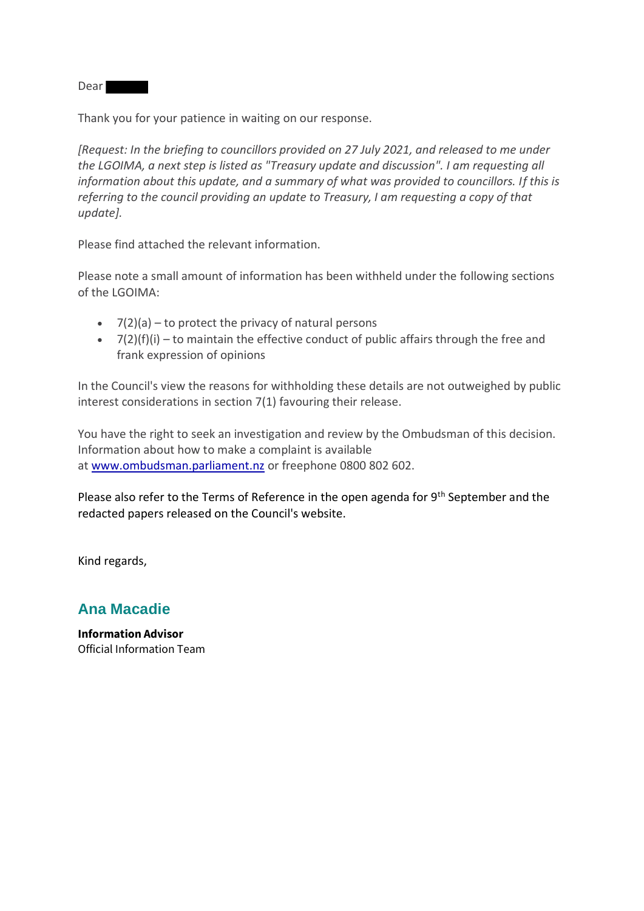**Dear** 

Thank you for your patience in waiting on our response.

*[Request: In the briefing to councillors provided on 27 July 2021, and released to me under the LGOIMA, a next step is listed as "Treasury update and discussion". I am requesting all information about this update, and a summary of what was provided to councillors. If this is referring to the council providing an update to Treasury, I am requesting a copy of that update].*

Please find attached the relevant information.

Please note a small amount of information has been withheld under the following sections of the LGOIMA:

- $\bullet$  7(2)(a) to protect the privacy of natural persons
- $\bullet$  7(2)(f)(i) to maintain the effective conduct of public affairs through the free and frank expression of opinions

In the Council's view the reasons for withholding these details are not outweighed by public interest considerations in section 7(1) favouring their release.

You have the right to seek an investigation and review by the Ombudsman of this decision. Information about how to make a complaint is available at [www.ombudsman.parliament.nz](http://www.ombudsman.parliament.nz/) or freephone 0800 802 602.

Please also refer to the Terms of Reference in the open agenda for 9<sup>th</sup> September and the redacted papers released on the Council's website.

Kind regards,

## **Ana Macadie**

**Information Advisor** Official Information Team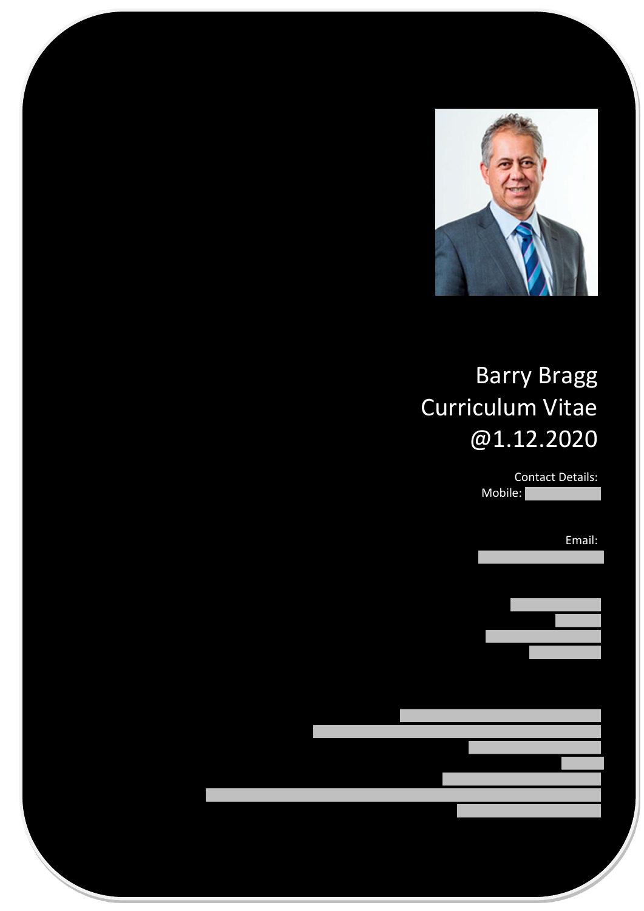

# Barry Bragg Curriculum Vitae @1.12.2020

Contact Details: Mobile:

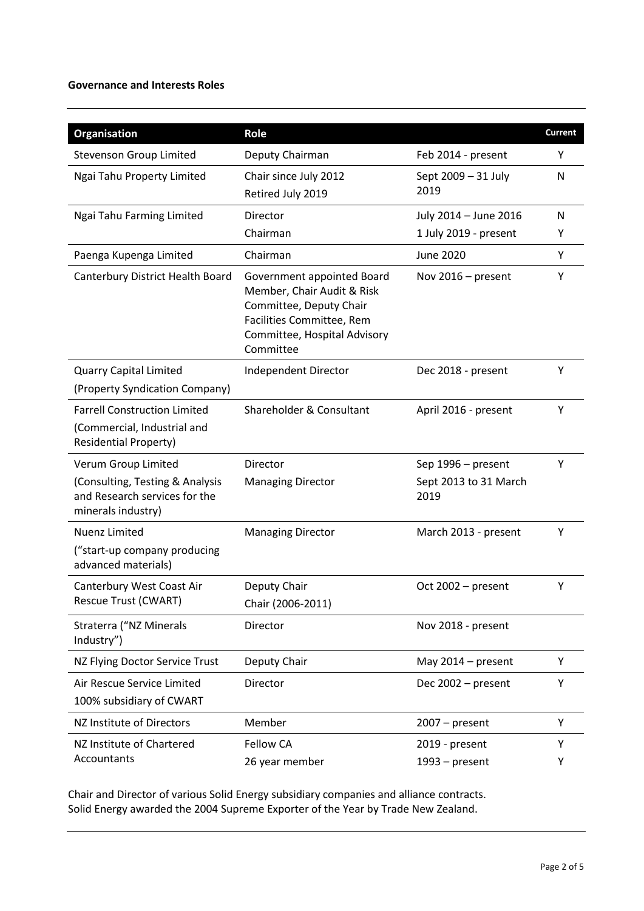#### **Governance and Interests Roles**

| Organisation                                                                                       | Role                                                                                                                                                          |                               | Current |
|----------------------------------------------------------------------------------------------------|---------------------------------------------------------------------------------------------------------------------------------------------------------------|-------------------------------|---------|
| <b>Stevenson Group Limited</b>                                                                     | Deputy Chairman                                                                                                                                               | Feb 2014 - present            | Υ       |
| Ngai Tahu Property Limited                                                                         | Chair since July 2012<br>Retired July 2019                                                                                                                    | Sept 2009 - 31 July<br>2019   | N       |
| Ngai Tahu Farming Limited                                                                          | Director                                                                                                                                                      | July 2014 - June 2016         | N       |
|                                                                                                    | Chairman                                                                                                                                                      | 1 July 2019 - present         | Υ       |
| Paenga Kupenga Limited                                                                             | Chairman                                                                                                                                                      | <b>June 2020</b>              | Υ       |
| Canterbury District Health Board                                                                   | Government appointed Board<br>Member, Chair Audit & Risk<br>Committee, Deputy Chair<br>Facilities Committee, Rem<br>Committee, Hospital Advisory<br>Committee | Nov 2016 - present            | Υ       |
| <b>Quarry Capital Limited</b>                                                                      | Independent Director                                                                                                                                          | Dec 2018 - present            | Υ       |
| (Property Syndication Company)                                                                     |                                                                                                                                                               |                               |         |
| <b>Farrell Construction Limited</b><br>(Commercial, Industrial and<br><b>Residential Property)</b> | Shareholder & Consultant                                                                                                                                      | April 2016 - present          | Υ       |
| Verum Group Limited                                                                                | Director                                                                                                                                                      | Sep 1996 – present            | Υ       |
| (Consulting, Testing & Analysis<br>and Research services for the<br>minerals industry)             | <b>Managing Director</b>                                                                                                                                      | Sept 2013 to 31 March<br>2019 |         |
| <b>Nuenz Limited</b>                                                                               | <b>Managing Director</b>                                                                                                                                      | March 2013 - present          | Υ       |
| ("start-up company producing<br>advanced materials)                                                |                                                                                                                                                               |                               |         |
| Canterbury West Coast Air                                                                          | Deputy Chair                                                                                                                                                  | Oct 2002 - present            | Υ       |
| Rescue Trust (CWART)                                                                               | Chair (2006-2011)                                                                                                                                             |                               |         |
| Straterra ("NZ Minerals<br>Industry")                                                              | Director                                                                                                                                                      | Nov 2018 - present            |         |
| NZ Flying Doctor Service Trust                                                                     | Deputy Chair                                                                                                                                                  | May 2014 - present            | Υ       |
| Air Rescue Service Limited                                                                         | Director                                                                                                                                                      | Dec 2002 - present            | Υ       |
| 100% subsidiary of CWART                                                                           |                                                                                                                                                               |                               |         |
| NZ Institute of Directors                                                                          | Member                                                                                                                                                        | $2007 - present$              | Υ       |
| NZ Institute of Chartered<br>Accountants                                                           | <b>Fellow CA</b>                                                                                                                                              | 2019 - present                | Υ       |
|                                                                                                    | 26 year member                                                                                                                                                | $1993 - present$              | Υ       |

Chair and Director of various Solid Energy subsidiary companies and alliance contracts. Solid Energy awarded the 2004 Supreme Exporter of the Year by Trade New Zealand.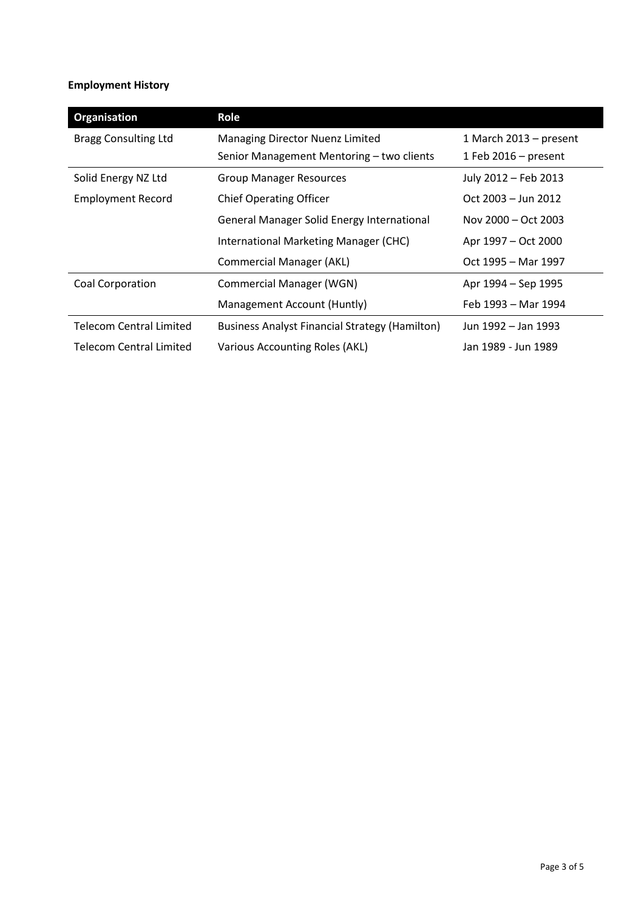## **Employment History**

| Organisation                   | Role                                                  |                        |  |
|--------------------------------|-------------------------------------------------------|------------------------|--|
| <b>Bragg Consulting Ltd</b>    | Managing Director Nuenz Limited                       | 1 March 2013 - present |  |
|                                | Senior Management Mentoring - two clients             | 1 Feb $2016$ – present |  |
| Solid Energy NZ Ltd            | <b>Group Manager Resources</b>                        | July 2012 - Feb 2013   |  |
| <b>Employment Record</b>       | <b>Chief Operating Officer</b>                        | Oct 2003 - Jun 2012    |  |
|                                | General Manager Solid Energy International            | Nov 2000 – Oct 2003    |  |
|                                | International Marketing Manager (CHC)                 | Apr 1997 – Oct 2000    |  |
|                                | <b>Commercial Manager (AKL)</b>                       | Oct 1995 – Mar 1997    |  |
| Coal Corporation               | <b>Commercial Manager (WGN)</b>                       | Apr 1994 – Sep 1995    |  |
|                                | Management Account (Huntly)                           | Feb 1993 – Mar 1994    |  |
| <b>Telecom Central Limited</b> | <b>Business Analyst Financial Strategy (Hamilton)</b> | Jun 1992 - Jan 1993    |  |
| Telecom Central Limited        | Various Accounting Roles (AKL)                        | Jan 1989 - Jun 1989    |  |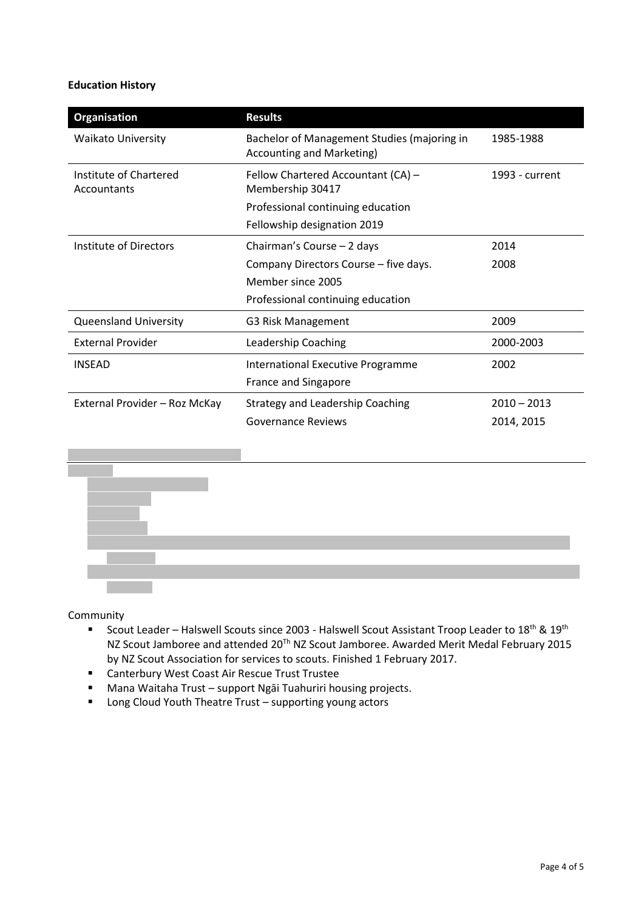### **Education History**

| Organisation                          | <b>Results</b>                                                                  |                |
|---------------------------------------|---------------------------------------------------------------------------------|----------------|
| Waikato University                    | Bachelor of Management Studies (majoring in<br><b>Accounting and Marketing)</b> | 1985-1988      |
| Institute of Chartered<br>Accountants | Fellow Chartered Accountant (CA) -<br>Membership 30417                          | 1993 - current |
|                                       | Professional continuing education                                               |                |
|                                       | Fellowship designation 2019                                                     |                |
| Institute of Directors                | Chairman's Course - 2 days                                                      | 2014           |
|                                       | Company Directors Course - five days.                                           | 2008           |
|                                       | Member since 2005                                                               |                |
|                                       | Professional continuing education                                               |                |
| <b>Queensland University</b>          | G3 Risk Management                                                              | 2009           |
| <b>External Provider</b>              | Leadership Coaching                                                             | 2000-2003      |
| <b>INSEAD</b>                         | <b>International Executive Programme</b>                                        | 2002           |
|                                       | France and Singapore                                                            |                |
| External Provider - Roz McKay         | <b>Strategy and Leadership Coaching</b>                                         | $2010 - 2013$  |
|                                       | Governance Reviews                                                              | 2014, 2015     |
|                                       |                                                                                 |                |



Community

- Scout Leader Halswell Scouts since 2003 Halswell Scout Assistant Troop Leader to 18<sup>th</sup> & 19<sup>th</sup> NZ Scout Jamboree and attended  $20^{Th}$  NZ Scout Jamboree. Awarded Merit Medal February 2015 by NZ Scout Association for services to scouts. Finished 1 February 2017.
- **EXECOAST COAST COAST AIR RESCUE Trust Trustee**
- Mana Waitaha Trust support Ngāi Tuahuriri housing projects.
- Long Cloud Youth Theatre Trust supporting young actors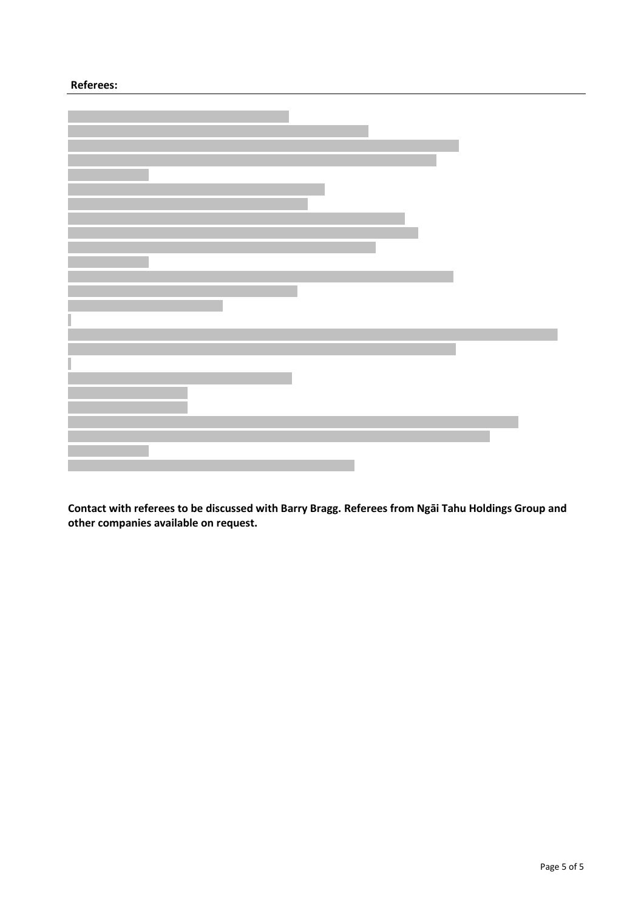#### **Referees:**

**Contact with referees to be discussed with Barry Bragg. Referees from Ngāi Tahu Holdings Group and other companies available on request.**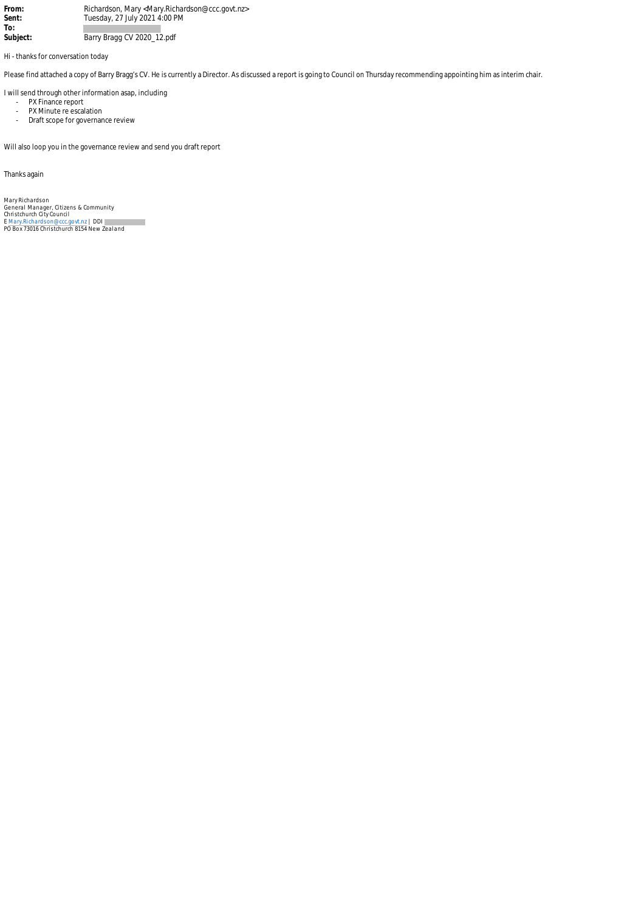From: **Richardson, Mary <Mary.Richardson@ccc.govt.nz><br>
<b>Sent:** Tuesday, 27 July 2021 4:00 PM **Sent:** Tuesday, 27 July 2021 4:00 PM **To:**  Barry Bragg CV 2020\_12.pdf

Hi - thanks for conversation today

Please find attached a copy of Barry Bragg's CV. He is currently a Director. As discussed a report is going to Council on Thursday recommending appointing him as interim chair.

I will send through other information asap, including

- PX Finance report
- PX Minute re escalation - Draft scope for governance review

Will also loop you in the governance review and send you draft report

Thanks again

Mary Richardson<br>General Manager, Citizens & Community<br>Christchurch City Council<br>E [Mary.Richardson@ccc.govt.nz](mailto:Mary.Richardson@ccc.govt.nz) | DDI<br>PO Box 73016 Christchurch 8154 New Zealand  $\sim$